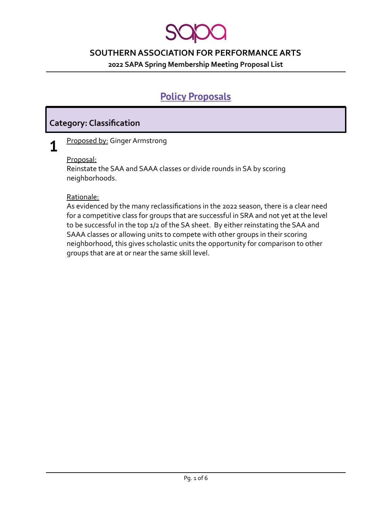**2022 SAPA Spring Membership Meeting Proposal List**

# **Policy Proposals**

## **Category: Classification**

**1** Proposed by: Ginger Armstrong

#### Proposal:

Reinstate the SAA and SAAA classes or divide rounds in SA by scoring neighborhoods.

#### Rationale:

As evidenced by the many reclassifications in the 2022 season, there is a clear need for a competitive class for groups that are successful in SRA and not yet at the level to be successful in the top 1/2 of the SA sheet. By either reinstating the SAA and SAAA classes or allowing units to compete with other groups in their scoring neighborhood, this gives scholastic units the opportunity for comparison to other groups that are at or near the same skill level.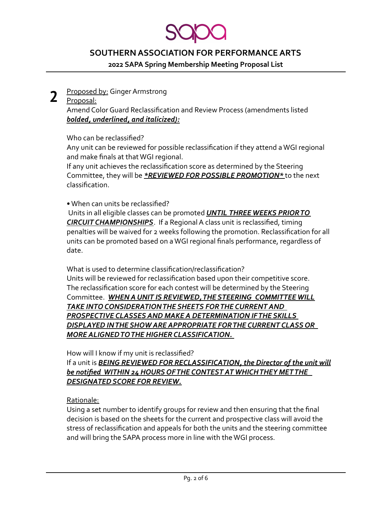**2022 SAPA Spring Membership Meeting Proposal List**

#### **2** Proposed by: Ginger Armstrong

#### Proposal:

Amend Color Guard Reclassification and Review Process (amendments listed *bolded, underlined, and italicized):*

Who can be reclassified?

Any unit can be reviewed for possible reclassification if they attend a WGI regional and make finals at that WGI regional.

If any unit achieves the reclassification score as determined by the Steering Committee, they will be *\*REVIEWED FOR POSSIBLE PROMOTION\** to the next classification.

• When can units be reclassified?

Units in all eligible classes can be promoted *UNTIL THREE WEEKS PRIOR TO CIRCUIT CHAMPIONSHIPS*. If a Regional A class unit is reclassified, timing penalties will be waived for 2 weeks following the promotion. Reclassification for all units can be promoted based on a WGI regional finals performance, regardless of date.

What is used to determine classification/reclassification? Units will be reviewed for reclassification based upon their competitive score. The reclassification score for each contest will be determined by the Steering Committee. *WHEN A UNIT IS REVIEWED, THE STEERING COMMITTEE WILL TAKE INTO CONSIDERATION THE SHEETS FOR THE CURRENT AND PROSPECTIVE CLASSES AND MAKE A DETERMINATION IF THE SKILLS DISPLAYED IN THE SHOW ARE APPROPRIATE FOR THE CURRENT CLASS OR MORE ALIGNED TO THE HIGHER CLASSIFICATION.*

How will I know if my unit is reclassified?

If a unit is *BEING REVIEWED FOR RECLASSIFICATION, the Director of the unit will be notified WITHIN 24 HOURS OF THE CONTEST AT WHICH THEY MET THE DESIGNATED SCORE FOR REVIEW.*

#### Rationale:

Using a set number to identify groups for review and then ensuring that the final decision is based on the sheets for the current and prospective class will avoid the stress of reclassification and appeals for both the units and the steering committee and will bring the SAPA process more in line with the WGI process.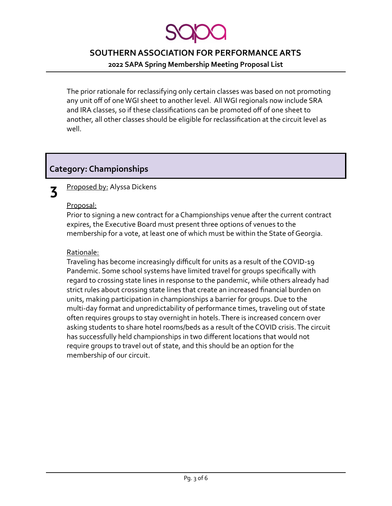**2022 SAPA Spring Membership Meeting Proposal List**

The prior rationale for reclassifying only certain classes was based on not promoting any unit off of one WGI sheet to another level. All WGI regionals now include SRA and IRA classes, so if these classifications can be promoted off of one sheet to another, all other classes should be eligible for reclassification at the circuit level as well.

# **Category: Championships**

#### **3** Proposed by: Alyssa Dickens

### Proposal:

Prior to signing a new contract for a Championships venue after the current contract expires, the Executive Board must present three options of venues to the membership for a vote, at least one of which must be within the State of Georgia.

#### Rationale:

Traveling has become increasingly difficult for units as a result of the COVID-19 Pandemic. Some school systems have limited travel for groups specifically with regard to crossing state lines in response to the pandemic, while others already had strict rules about crossing state lines that create an increased financial burden on units, making participation in championships a barrier for groups. Due to the multi-day format and unpredictability of performance times, traveling out of state often requires groups to stay overnight in hotels. There is increased concern over asking students to share hotel rooms/beds as a result of the COVID crisis. The circuit has successfully held championships in two different locations that would not require groups to travel out of state, and this should be an option for the membership of our circuit.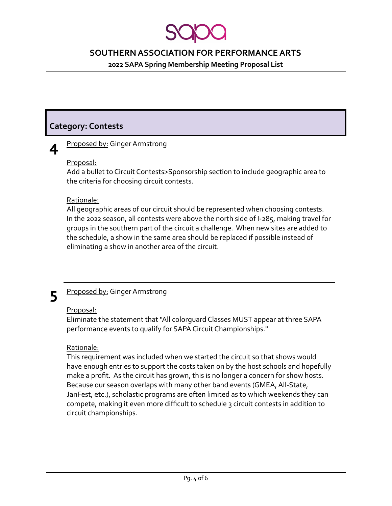**2022 SAPA Spring Membership Meeting Proposal List**

# **Category: Contests**

# **4**

#### Proposed by: Ginger Armstrong

#### Proposal:

Add a bullet to Circuit Contests>Sponsorship section to include geographic area to the criteria for choosing circuit contests.

#### Rationale:

All geographic areas of our circuit should be represented when choosing contests. In the 2022 season, all contests were above the north side of I-285, making travel for groups in the southern part of the circuit a challenge. When new sites are added to the schedule, a show in the same area should be replaced if possible instead of eliminating a show in another area of the circuit.

#### **5** Proposed by: Ginger Armstrong

#### Proposal:

Eliminate the statement that "All colorguard Classes MUST appear at three SAPA performance events to qualify for SAPA Circuit Championships."

#### Rationale:

This requirement was included when we started the circuit so that shows would have enough entries to support the costs taken on by the host schools and hopefully make a profit. As the circuit has grown, this is no longer a concern for show hosts. Because our season overlaps with many other band events (GMEA, All-State, JanFest, etc.), scholastic programs are often limited as to which weekends they can compete, making it even more difficult to schedule 3 circuit contests in addition to circuit championships.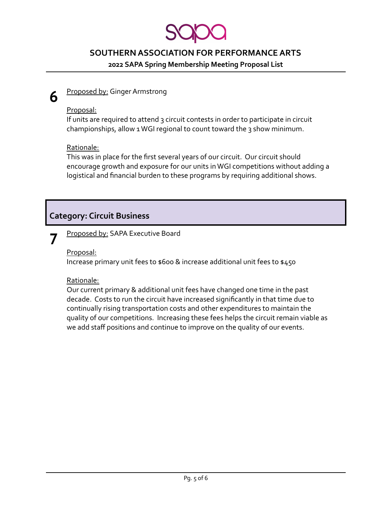**2022 SAPA Spring Membership Meeting Proposal List**

#### **6** Proposed by: Ginger Armstrong

#### Proposal:

If units are required to attend 3 circuit contests in order to participate in circuit championships, allow 1 WGI regional to count toward the 3 show minimum.

#### Rationale:

This was in place for the first several years of our circuit. Our circuit should encourage growth and exposure for our units in WGI competitions without adding a logistical and financial burden to these programs by requiring additional shows.

# **Category: Circuit Business**

#### **7** Proposed by: SAPA Executive Board

Proposal:

Increase primary unit fees to \$600 & increase additional unit fees to \$450

#### Rationale:

Our current primary & additional unit fees have changed one time in the past decade. Costs to run the circuit have increased significantly in that time due to continually rising transportation costs and other expenditures to maintain the quality of our competitions. Increasing these fees helps the circuit remain viable as we add staff positions and continue to improve on the quality of our events.